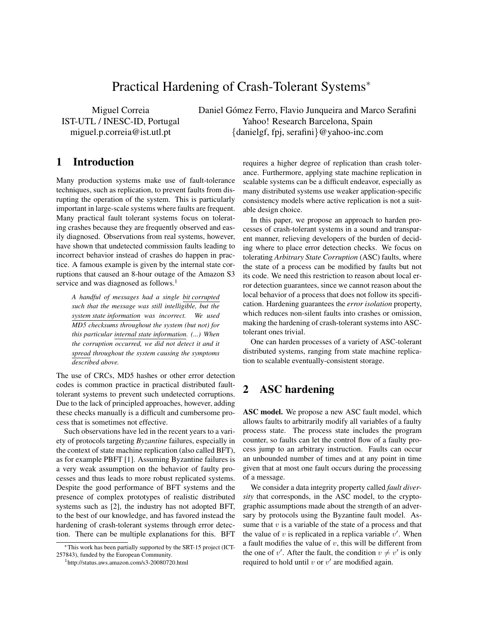# Practical Hardening of Crash-Tolerant Systems<sup>∗</sup>

Miguel Correia IST-UTL / INESC-ID, Portugal miguel.p.correia@ist.utl.pt

Daniel Gómez Ferro, Flavio Junqueira and Marco Serafini Yahoo! Research Barcelona, Spain {danielgf, fpj, serafini}@yahoo-inc.com

#### 1 Introduction

Many production systems make use of fault-tolerance techniques, such as replication, to prevent faults from disrupting the operation of the system. This is particularly important in large-scale systems where faults are frequent. Many practical fault tolerant systems focus on tolerating crashes because they are frequently observed and easily diagnosed. Observations from real systems, however, have shown that undetected commission faults leading to incorrect behavior instead of crashes do happen in practice. A famous example is given by the internal state corruptions that caused an 8-hour outage of the Amazon S3 service and was diagnosed as follows.<sup>1</sup>

*A handful of messages had a single bit corrupted such that the message was still intelligible, but the system state information was incorrect. We used MD5 checksums throughout the system (but not) for this particular internal state information. (...) When the corruption occurred, we did not detect it and it spread throughout the system causing the symptoms described above.*

The use of CRCs, MD5 hashes or other error detection codes is common practice in practical distributed faulttolerant systems to prevent such undetected corruptions. Due to the lack of principled approaches, however, adding these checks manually is a difficult and cumbersome process that is sometimes not effective.

Such observations have led in the recent years to a variety of protocols targeting *Byzantine* failures, especially in the context of state machine replication (also called BFT), as for example PBFT [1]. Assuming Byzantine failures is a very weak assumption on the behavior of faulty processes and thus leads to more robust replicated systems. Despite the good performance of BFT systems and the presence of complex prototypes of realistic distributed systems such as [2], the industry has not adopted BFT, to the best of our knowledge, and has favored instead the hardening of crash-tolerant systems through error detection. There can be multiple explanations for this. BFT requires a higher degree of replication than crash tolerance. Furthermore, applying state machine replication in scalable systems can be a difficult endeavor, especially as many distributed systems use weaker application-specific consistency models where active replication is not a suitable design choice.

In this paper, we propose an approach to harden processes of crash-tolerant systems in a sound and transparent manner, relieving developers of the burden of deciding where to place error detection checks. We focus on tolerating *Arbitrary State Corruption* (ASC) faults, where the state of a process can be modified by faults but not its code. We need this restriction to reason about local error detection guarantees, since we cannot reason about the local behavior of a process that does not follow its specification. Hardening guarantees the *error isolation* property, which reduces non-silent faults into crashes or omission, making the hardening of crash-tolerant systems into ASCtolerant ones trivial.

One can harden processes of a variety of ASC-tolerant distributed systems, ranging from state machine replication to scalable eventually-consistent storage.

## 2 ASC hardening

ASC model. We propose a new ASC fault model, which allows faults to arbitrarily modify all variables of a faulty process state. The process state includes the program counter, so faults can let the control flow of a faulty process jump to an arbitrary instruction. Faults can occur an unbounded number of times and at any point in time given that at most one fault occurs during the processing of a message.

We consider a data integrity property called *fault diversity* that corresponds, in the ASC model, to the cryptographic assumptions made about the strength of an adversary by protocols using the Byzantine fault model. Assume that  $v$  is a variable of the state of a process and that the value of  $v$  is replicated in a replica variable  $v'$ . When a fault modifies the value of  $v$ , this will be different from the one of v'. After the fault, the condition  $v \neq v'$  is only required to hold until  $v$  or  $v'$  are modified again.

<sup>∗</sup>This work has been partially supported by the SRT-15 project (ICT-257843), funded by the European Community.

<sup>1</sup>http://status.aws.amazon.com/s3-20080720.html